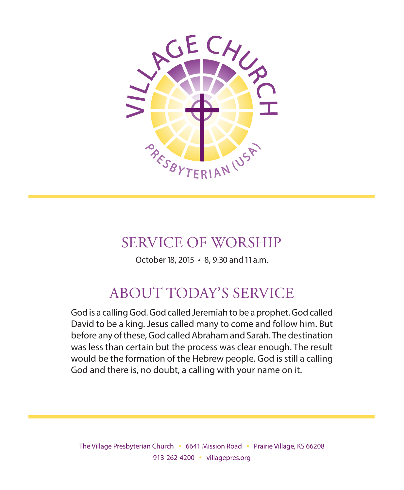

# SERVICE OF WORSHIP

October 18, 2015 • 8, 9:30 and 11 a.m.

# ABOUT TODAY'S SERVICE

God is a calling God. God called Jeremiah to be a prophet. God called David to be a king. Jesus called many to come and follow him. But before any of these, God called Abraham and Sarah. The destination was less than certain but the process was clear enough. The result would be the formation of the Hebrew people. God is still a calling God and there is, no doubt, a calling with your name on it.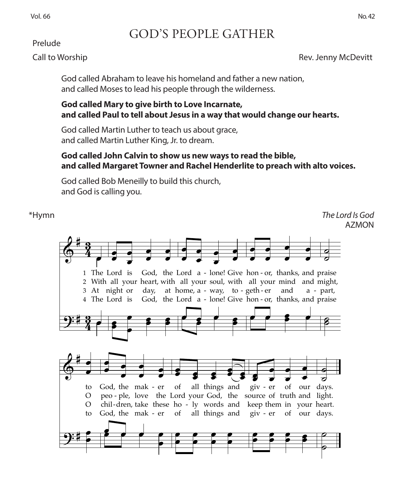### Prelude

# orshi<sub>l</sub> )

Rev. Jenny McDevitt ˙.

God called Abraham to leave his homeland and father a new nation, œ and called Moses to lead his people through the wilderness. ˙.

## **God called Mary to give birth to Love Incarnate,<br>end called Paul to tall about Jesus in a wouthot is and called Paul to tell about Jesus in a way that would change our hearts.**<br>God called Martin Luther to teach us about grace, lled Paul to tell about Jesus in a way that would change

GOD'S PEOPLE GATHER

and called Martin Luther to teach us about grace,<br>God called Martin Luther to teach us about grace, and called Martin Luther King, Jr. to dream.

### **God called John Calvin to show us new ways to read the bible, and called Margaret Towner and Rachel Henderlite to preach with alto voices.**

God called Bob Meneilly to build this church, and God is calling you.

\*Hymn *The Lord Is God*  AZMON The Lord Is God 63 and 19 and 19 and 19 and 19 and 19 and 19 and 19 and 19 and 19 and 19 and 19 and 19 and 19<br>The Lord Islam Islam Islam Islam Islam Islam Islam Islam Islam Islam Islam Islam Islam Islam Islam Islam Islam

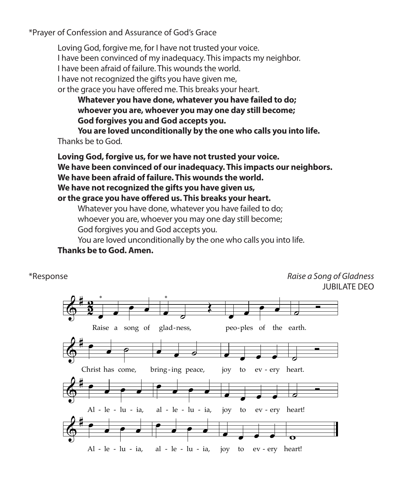\*Prayer of Confession and Assurance of God's Grace

Loving God, forgive me, for I have not trusted your voice. I have been convinced of my inadequacy. This impacts my neighbor. I have been afraid of failure. This wounds the world. I have not recognized the gifts you have given me, or the grace you have offered me. This breaks your heart.

**Whatever you have done, whatever you have failed to do; whoever you are, whoever you may one day still become; God forgives you and God accepts you.**

**You are loved unconditionally by the one who calls you into life.**  Thanks be to God.

**Loving God, forgive us, for we have not trusted your voice.** We have been convinced of our inadequacy. This impacts our neighbors. **We have been afraid of failure. This wounds the world.** We have not recognized the gifts you have given us, or the grace you have offered us. This breaks your heart.

whatever you have done, whatever you have failed to do;<br>whoever you are, whoever you may one day still become; Whatever you have done, whatever you have failed to do;<br>whoever you are, whoever you may one day still become; Find the youth of the state of the state of the State of the State Code<br>
155 You are loved unconditionally by the one you.

God forgives you and God accepts you.<br>You are loved unconditionally by the one who calls you into life. *Jubilate Deo*

### rou are loved uncond<br>**Thanks be to God. Amen.** a antendationally by the one time calls you in<br>d. Amen. 2

 $\ddot{a}$ 

\*Response *Raise a Song of Gladness* ˙ Ó earth. JUBILATE DEO

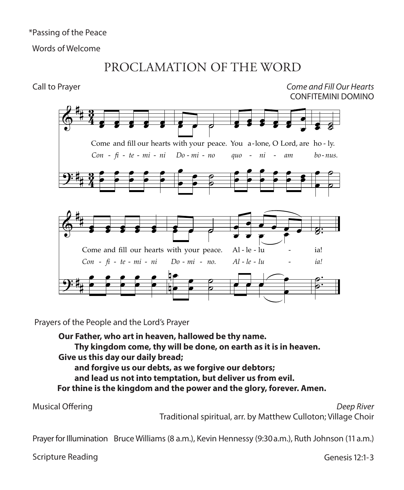\*Passing of the Peace

Words of Welcome

# PROCLAMATION OF THE WORD

Call to Prayer

Come and Fill Our Hearts CONFITEMINI DOMINO



Prayers of the People and the Lord's Prayer

Our Father, who art in heaven, hallowed be thy name. Thy kingdom come, thy will be done, on earth as it is in heaven. Give us this day our daily bread; and forgive us our debts, as we forgive our debtors; and lead us not into temptation, but deliver us from evil. For thine is the kingdom and the power and the glory, forever. Amen.

**Musical Offering** 

Deep River Traditional spiritual, arr. by Matthew Culloton; Village Choir

Prayer for Illumination Bruce Williams (8 a.m.), Kevin Hennessy (9:30 a.m.), Ruth Johnson (11 a.m.)

Scripture Reading

Genesis 12:1-3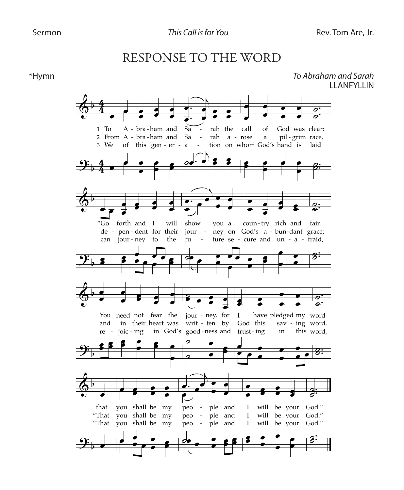## RESPONSE TO THE WORD

\*Hymn

To Abraham and Sarah **II ANFYLLIN** 

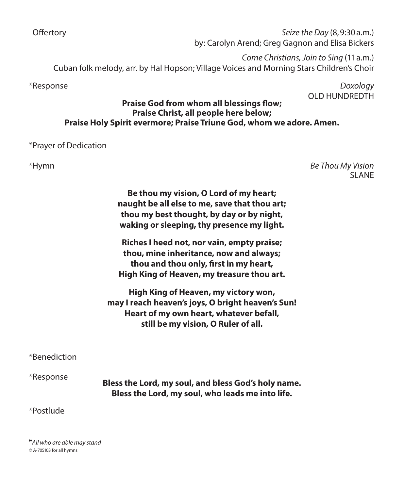Offertory *Seize the Day* (8, 9:30 a.m.) by: Carolyn Arend; Greg Gagnon and Elisa Bickers

*Come Christians, Join to Sing* (11 a.m.) Cuban folk melody, arr. by Hal Hopson; Village Voices and Morning Stars Children's Choir

\*Response *Doxology* OLD HUNDREDTH

### **Praise God from whom all blessings flow; Praise Christ, all people here below; Praise Holy Spirit evermore; Praise Triune God, whom we adore. Amen.**

### \*Prayer of Dedication

\*Hymn *Be Thou My Vision*  SLANE

> **Be thou my vision, O Lord of my heart; naught be all else to me, save that thou art; thou my best thought, by day or by night, waking or sleeping, thy presence my light.**

> **Riches I heed not, nor vain, empty praise; thou, mine inheritance, now and always; thou and thou only, first in my heart, High King of Heaven, my treasure thou art.**

**High King of Heaven, my victory won, may I reach heaven's joys, O bright heaven's Sun! Heart of my own heart, whatever befall, still be my vision, O Ruler of all.**

\*Benediction

\*Response **Bless the Lord, my soul, and bless God's holy name. Bless the Lord, my soul, who leads me into life.**

### \*Postlude

\**All who are able may stand ©* A-705103 for all hymns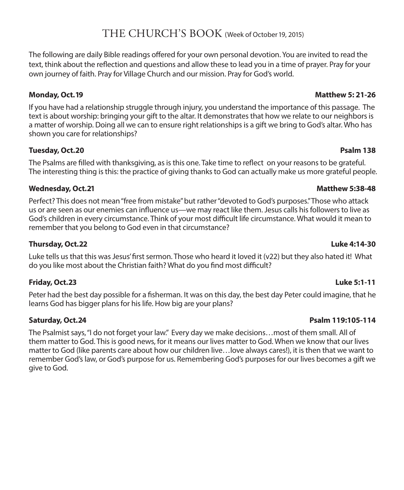## THE CHURCH'S BOOK (Week of October 19, 2015)

The following are daily Bible readings offered for your own personal devotion. You are invited to read the text, think about the reflection and questions and allow these to lead you in a time of prayer. Pray for your own journey of faith. Pray for Village Church and our mission. Pray for God's world.

If you have had a relationship struggle through injury, you understand the importance of this passage. The text is about worship: bringing your gift to the altar. It demonstrates that how we relate to our neighbors is a matter of worship. Doing all we can to ensure right relationships is a gift we bring to God's altar. Who has shown you care for relationships?

### **Tuesday, Oct. 20 Psalm 138**

The Psalms are filled with thanksgiving, as is this one. Take time to reflect on your reasons to be grateful. The interesting thing is this: the practice of giving thanks to God can actually make us more grateful people.

### **Wednesday, Oct. 21 Matthew 5:38-48**

Perfect? This does not mean "free from mistake" but rather "devoted to God's purposes." Those who attack us or are seen as our enemies can influence us—we may react like them. Jesus calls his followers to live as God's children in every circumstance. Think of your most difficult life circumstance. What would it mean to remember that you belong to God even in that circumstance?

### **Thursday, Oct. 22 Luke 4:14-30**

Luke tells us that this was Jesus' first sermon. Those who heard it loved it (v22) but they also hated it! What do you like most about the Christian faith? What do you find most difficult?

### **Friday, Oct. 23 Luke 5:1-11**

Peter had the best day possible for a fisherman. It was on this day, the best day Peter could imagine, that he learns God has bigger plans for his life. How big are your plans?

### **Saturday, Oct. 24 Psalm 119:105-114**

The Psalmist says, "I do not forget your law." Every day we make decisions…most of them small. All of them matter to God. This is good news, for it means our lives matter to God. When we know that our lives matter to God (like parents care about how our children live…love always cares!), it is then that we want to remember God's law, or God's purpose for us. Remembering God's purposes for our lives becomes a gift we give to God.

### **Monday, Oct. 19 Matthew 5: 21-26**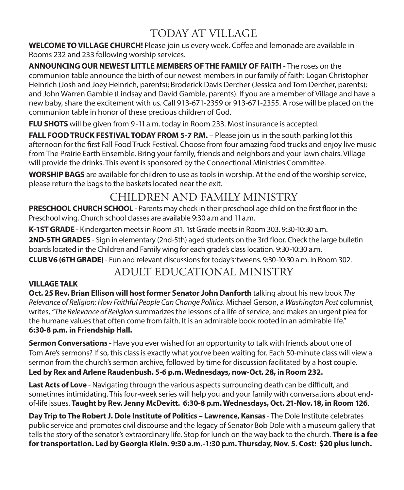# TODAY AT VILLAGE

**WELCOME TO VILLAGE CHURCH!** Please join us every week. Coffee and lemonade are available in Rooms 232 and 233 following worship services.

**ANNOUNCING OUR NEWEST LITTLE MEMBERS OF THE FAMILY OF FAITH** - The roses on the communion table announce the birth of our newest members in our family of faith: Logan Christopher Heinrich (Josh and Joey Heinrich, parents); Broderick Davis Dercher (Jessica and Tom Dercher, parents); and John Warren Gamble (Lindsay and David Gamble, parents). If you are a member of Village and have a new baby, share the excitement with us. Call 913-671-2359 or 913-671-2355. A rose will be placed on the communion table in honor of these precious children of God.

**FLU SHOTS** will be given from 9-11 a.m. today in Room 233. Most insurance is accepted.

**FALL FOOD TRUCK FESTIVAL TODAY FROM 5-7 P.M.** – Please join us in the south parking lot this afternoon for the first Fall Food Truck Festival. Choose from four amazing food trucks and enjoy live music from The Prairie Earth Ensemble. Bring your family, friends and neighbors and your lawn chairs. Village will provide the drinks. This event is sponsored by the Connectional Ministries Committee.

**WORSHIP BAGS** are available for children to use as tools in worship. At the end of the worship service, please return the bags to the baskets located near the exit.

# CHILDREN AND FAMILY MINISTRY

**PRESCHOOL CHURCH SCHOOL** - Parents may check in their preschool age child on the first floor in the Preschool wing. Church school classes are available 9:30 a.m and 11 a.m.

**K-1ST GRADE** - Kindergarten meets in Room 311. 1st Grade meets in Room 303. 9:30-10:30 a.m. **2ND-5TH GRADES** - Sign in elementary (2nd-5th) aged students on the 3rd floor. Check the large bulletin boards located in the Children and Family wing for each grade's class location. 9:30-10:30 a.m.

**CLUB V6 (6TH GRADE)** - Fun and relevant discussions for today's 'tweens. 9:30-10:30 a.m. in Room 302.

## ADULT EDUCATIONAL MINISTRY

### **VILLAGE TALK**

**Oct. 25 Rev. Brian Ellison will host former Senator John Danforth** talking about his new book *The Relevance of Religion: How Faithful People Can Change Politics*. Michael Gerson, a *Washington Post* columnist, writes, *"The Relevance of Religion* summarizes the lessons of a life of service, and makes an urgent plea for the humane values that often come from faith. It is an admirable book rooted in an admirable life." **6:30-8 p.m. in Friendship Hall.**

**Sermon Conversations -** Have you ever wished for an opportunity to talk with friends about one of Tom Are's sermons? If so, this class is exactly what you've been waiting for. Each 50-minute class will view a sermon from the church's sermon archive, followed by time for discussion facilitated by a host couple. **Led by Rex and Arlene Raudenbush. 5-6 p.m. Wednesdays, now-Oct. 28, in Room 232.**

**Last Acts of Love** - Navigating through the various aspects surrounding death can be difficult, and sometimes intimidating. This four-week series will help you and your family with conversations about endof-life issues. **Taught by Rev. Jenny McDevitt. 6:30-8 p.m. Wednesdays, Oct. 21-Nov. 18, in Room 126**.

**Day Trip to The Robert J. Dole Institute of Politics – Lawrence, Kansas** - The Dole Institute celebrates public service and promotes civil discourse and the legacy of Senator Bob Dole with a museum gallery that tells the story of the senator's extraordinary life. Stop for lunch on the way back to the church. **There is a fee for transportation. Led by Georgia Klein. 9:30 a.m.-1:30 p.m. Thursday, Nov. 5. Cost: \$20 plus lunch.**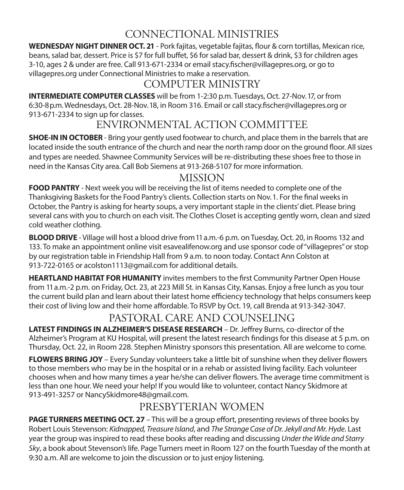# CONNECTIONAL MINISTRIES

**WEDNESDAY NIGHT DINNER OCT. 21** - Pork fajitas, vegetable fajitas, flour & corn tortillas, Mexican rice, beans, salad bar, dessert. Price is \$7 for full buffet, \$6 for salad bar, dessert & drink, \$3 for children ages 3-10, ages 2 & under are free. Call 913-671-2334 or email stacy.fischer@villagepres.org, or go to villagepres.org under Connectional Ministries to make a reservation.

## COMPUTER MINISTRY

**INTERMEDIATE COMPUTER CLASSES** will be from 1-2:30 p.m. Tuesdays, Oct. 27-Nov. 17, or from 6:30-8 p.m. Wednesdays, Oct. 28-Nov. 18, in Room 316. Email or call stacy.fischer@villagepres.org or 913-671-2334 to sign up for classes.

## ENVIRONMENTAL ACTION COMMITTEE

**SHOE-IN IN OCTOBER** - Bring your gently used footwear to church, and place them in the barrels that are located inside the south entrance of the church and near the north ramp door on the ground floor. All sizes and types are needed. Shawnee Community Services will be re-distributing these shoes free to those in need in the Kansas City area. Call Bob Siemens at 913-268-5107 for more information.

## MISSION

**FOOD PANTRY** - Next week you will be receiving the list of items needed to complete one of the Thanksgiving Baskets for the Food Pantry's clients. Collection starts on Nov. 1. For the final weeks in October, the Pantry is asking for hearty soups, a very important staple in the clients' diet. Please bring several cans with you to church on each visit. The Clothes Closet is accepting gently worn, clean and sized cold weather clothing.

**BLOOD DRIVE** - Village will host a blood drive from 11 a.m.-6 p.m. on Tuesday, Oct. 20, in Rooms 132 and 133. To make an appointment online visit esavealifenow.org and use sponsor code of "villagepres" or stop by our registration table in Friendship Hall from 9 a.m. to noon today. Contact Ann Colston at 913-722-0165 or acolston1113@gmail.com for additional details.

**HEARTLAND HABITAT FOR HUMANITY** invites members to the first Community Partner Open House from 11 a.m.-2 p.m. on Friday, Oct. 23, at 223 Mill St. in Kansas City, Kansas. Enjoy a free lunch as you tour the current build plan and learn about their latest home efficiency technology that helps consumers keep their cost of living low and their home affordable. To RSVP by Oct. 19, call Brenda at 913-342-3047.

# PASTORAL CARE AND COUNSELING

**LATEST FINDINGS IN ALZHEIMER'S DISEASE RESEARCH** – Dr. Jeffrey Burns, co-director of the Alzheimer's Program at KU Hospital, will present the latest research findings for this disease at 5 p.m. on Thursday, Oct. 22, in Room 228. Stephen Ministry sponsors this presentation. All are welcome to come.

**FLOWERS BRING JOY** – Every Sunday volunteers take a little bit of sunshine when they deliver flowers to those members who may be in the hospital or in a rehab or assisted living facility. Each volunteer chooses when and how many times a year he/she can deliver flowers. The average time commitment is less than one hour. We need your help! If you would like to volunteer, contact Nancy Skidmore at 913-491-3257 or NancySkidmore48@gmail.com.

# PRESBYTERIAN WOMEN

**PAGE TURNERS MEETING OCT. 27** – This will be a group effort, presenting reviews of three books by Robert Louis Stevenson: *Kidnapped, Treasure Island*, and *The Strange Case of Dr. Jekyll and Mr. Hyde*. Last year the group was inspired to read these books after reading and discussing *Under the Wide and Starry Sky*, a book about Stevenson's life. Page Turners meet in Room 127 on the fourth Tuesday of the month at 9:30 a.m. All are welcome to join the discussion or to just enjoy listening.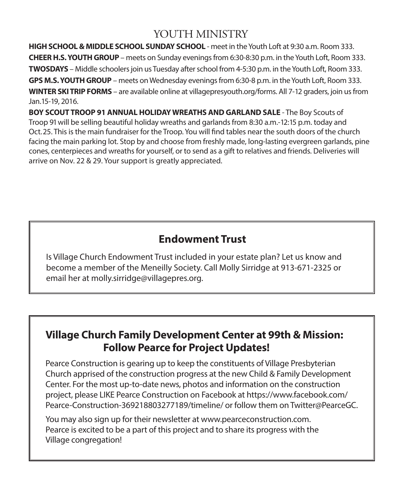## YOUTH MINISTRY

**HIGH SCHOOL & MIDDLE SCHOOL SUNDAY SCHOOL** - meet in the Youth Loft at 9:30 a.m. Room 333. **CHEER H.S. YOUTH GROUP** – meets on Sunday evenings from 6:30-8:30 p.m. in the Youth Loft, Room 333. **TWOSDAYS** – Middle schoolers join us Tuesday after school from 4-5:30 p.m. in the Youth Loft, Room 333. **GPS M.S. YOUTH GROUP** – meets on Wednesday evenings from 6:30-8 p.m. in the Youth Loft, Room 333. **WINTER SKI TRIP FORMS** – are available online at villagepresyouth.org/forms. All 7-12 graders, join us from Jan.15-19, 2016.

**BOY SCOUT TROOP 91 ANNUAL HOLIDAY WREATHS AND GARLAND SALE** - The Boy Scouts of Troop 91 will be selling beautiful holiday wreaths and garlands from 8:30 a.m.-12:15 p.m. today and Oct. 25. This is the main fundraiser for the Troop. You will find tables near the south doors of the church facing the main parking lot. Stop by and choose from freshly made, long-lasting evergreen garlands, pine cones, centerpieces and wreaths for yourself, or to send as a gift to relatives and friends. Deliveries will arrive on Nov. 22 & 29. Your support is greatly appreciated.

## **Endowment Trust**

Is Village Church Endowment Trust included in your estate plan? Let us know and become a member of the Meneilly Society. Call Molly Sirridge at 913-671-2325 or email her at molly.sirridge@villagepres.org.

## **Village Church Family Development Center at 99th & Mission: Follow Pearce for Project Updates!**

Pearce Construction is gearing up to keep the constituents of Village Presbyterian Church apprised of the construction progress at the new Child & Family Development Center. For the most up-to-date news, photos and information on the construction project, please LIKE Pearce Construction on Facebook at https://www.facebook.com/ Pearce-Construction-369218803277189/timeline/ or follow them on Twitter@PearceGC.

You may also sign up for their newsletter at www.pearceconstruction.com. Pearce is excited to be a part of this project and to share its progress with the Village congregation!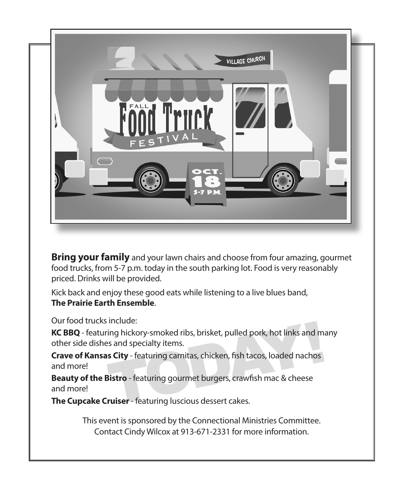

**Bring your family** and your lawn chairs and choose from four amazing, gourmet food trucks, from 5-7 p.m. today in the south parking lot. Food is very reasonably priced. Drinks will be provided.

Kick back and enjoy these good eats while listening to a live blues band, **The Prairie Earth Ensemble**.

Our food trucks include:

ing hickory-smoked ribs, brisket, pulled pork, hot links and mass and specialty items.<br> **s City** - featuring carnitas, chicken, fish tacos, loaded nachos<br> **Sistro** - featuring gourmet burgers, crawfish mac & cheese<br> **ruise KC BBQ** - featuring hickory-smoked ribs, brisket, pulled pork, hot links and many other side dishes and specialty items.

**Crave of Kansas City** - featuring carnitas, chicken, fish tacos, loaded nachos and more!

**Beauty of the Bistro** - featuring gourmet burgers, crawfish mac & cheese and more!

**The Cupcake Cruiser** - featuring luscious dessert cakes.

This event is sponsored by the Connectional Ministries Committee. Contact Cindy Wilcox at 913-671-2331 for more information.